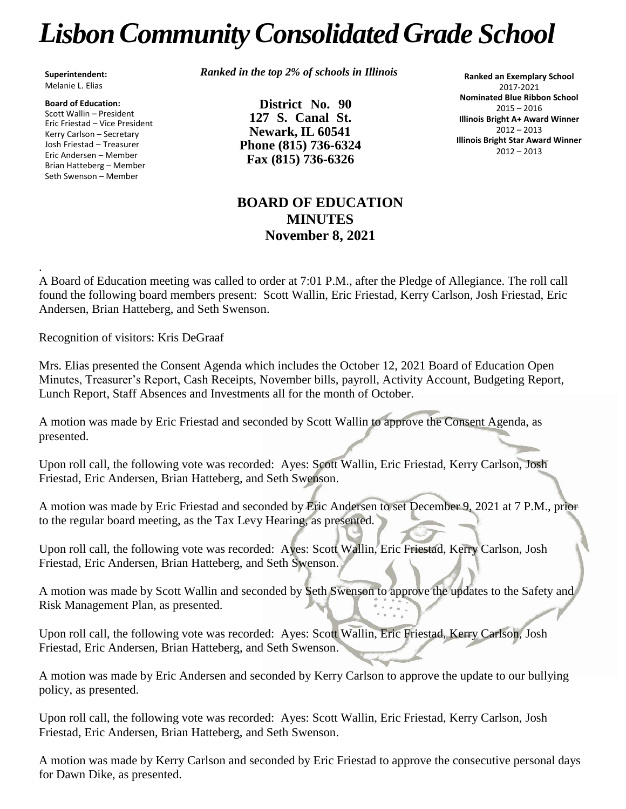## *LisbonCommunityConsolidated Grade School*

**Superintendent:** Melanie L. Elias

**Board of Education:** Scott Wallin – President Eric Friestad – Vice President Kerry Carlson – Secretary Josh Friestad – Treasurer Eric Andersen – Member Brian Hatteberg – Member Seth Swenson – Member

*Ranked in the top 2% of schools in Illinois*

**District No. 90 127 S. Canal St. Newark, IL 60541 Phone (815) 736-6324 Fax (815) 736-6326**

**Ranked an Exemplary School** 2017-2021 **Nominated Blue Ribbon School** 2015 – 2016 **Illinois Bright A+ Award Winner** 2012 – 2013 **Illinois Bright Star Award Winner** 2012 – 2013

## **BOARD OF EDUCATION MINUTES November 8, 2021**

. A Board of Education meeting was called to order at 7:01 P.M., after the Pledge of Allegiance. The roll call found the following board members present: Scott Wallin, Eric Friestad, Kerry Carlson, Josh Friestad, Eric Andersen, Brian Hatteberg, and Seth Swenson.

Recognition of visitors: Kris DeGraaf

Mrs. Elias presented the Consent Agenda which includes the October 12, 2021 Board of Education Open Minutes, Treasurer's Report, Cash Receipts, November bills, payroll, Activity Account, Budgeting Report, Lunch Report, Staff Absences and Investments all for the month of October.

A motion was made by Eric Friestad and seconded by Scott Wallin to approve the Consent Agenda, as presented.

Upon roll call, the following vote was recorded: Ayes: Scott Wallin, Eric Friestad, Kerry Carlson, Josh Friestad, Eric Andersen, Brian Hatteberg, and Seth Swenson.

A motion was made by Eric Friestad and seconded by Eric Andersen to set December 9, 2021 at 7 P.M., prior to the regular board meeting, as the Tax Levy Hearing, as presented.

Upon roll call, the following vote was recorded: Ayes: Scott Wallin, Eric Friestad, Kerry Carlson, Josh Friestad, Eric Andersen, Brian Hatteberg, and Seth Swenson.

A motion was made by Scott Wallin and seconded by Seth Swenson to approve the updates to the Safety and Risk Management Plan, as presented.

Upon roll call, the following vote was recorded: Ayes: Scott Wallin, Eric Friestad, Kerry Carlson, Josh Friestad, Eric Andersen, Brian Hatteberg, and Seth Swenson.

A motion was made by Eric Andersen and seconded by Kerry Carlson to approve the update to our bullying policy, as presented.

Upon roll call, the following vote was recorded: Ayes: Scott Wallin, Eric Friestad, Kerry Carlson, Josh Friestad, Eric Andersen, Brian Hatteberg, and Seth Swenson.

A motion was made by Kerry Carlson and seconded by Eric Friestad to approve the consecutive personal days for Dawn Dike, as presented.